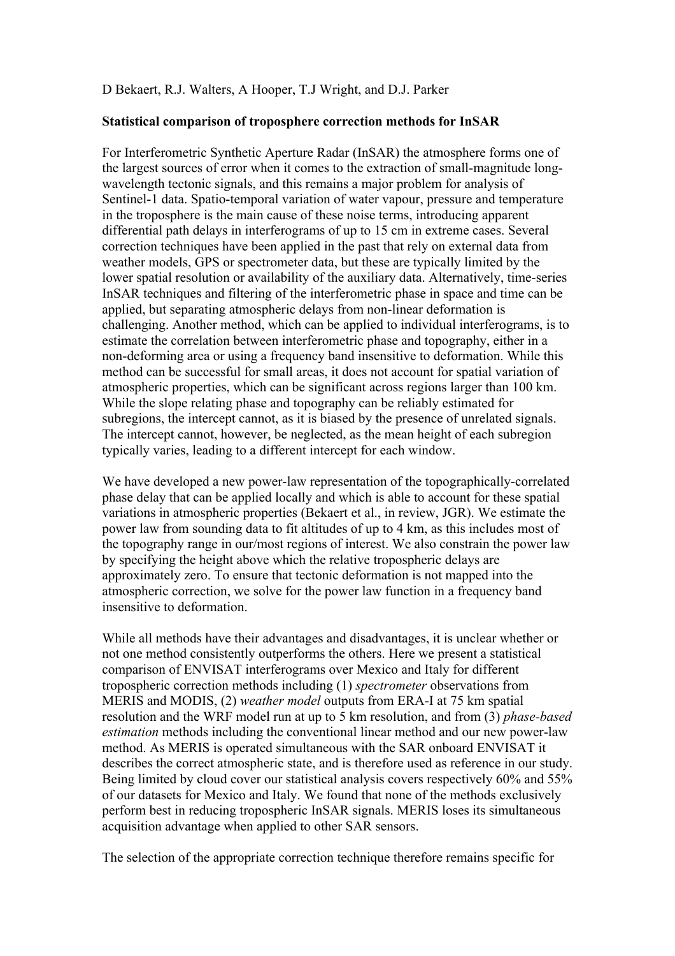## D Bekaert, R.J. Walters, A Hooper, T.J Wright, and D.J. Parker

## **Statistical comparison of troposphere correction methods for InSAR**

For Interferometric Synthetic Aperture Radar (InSAR) the atmosphere forms one of the largest sources of error when it comes to the extraction of small-magnitude longwavelength tectonic signals, and this remains a major problem for analysis of Sentinel-1 data. Spatio-temporal variation of water vapour, pressure and temperature in the troposphere is the main cause of these noise terms, introducing apparent differential path delays in interferograms of up to 15 cm in extreme cases. Several correction techniques have been applied in the past that rely on external data from weather models, GPS or spectrometer data, but these are typically limited by the lower spatial resolution or availability of the auxiliary data. Alternatively, time-series InSAR techniques and filtering of the interferometric phase in space and time can be applied, but separating atmospheric delays from non-linear deformation is challenging. Another method, which can be applied to individual interferograms, is to estimate the correlation between interferometric phase and topography, either in a non-deforming area or using a frequency band insensitive to deformation. While this method can be successful for small areas, it does not account for spatial variation of atmospheric properties, which can be significant across regions larger than 100 km. While the slope relating phase and topography can be reliably estimated for subregions, the intercept cannot, as it is biased by the presence of unrelated signals. The intercept cannot, however, be neglected, as the mean height of each subregion typically varies, leading to a different intercept for each window.

We have developed a new power-law representation of the topographically-correlated phase delay that can be applied locally and which is able to account for these spatial variations in atmospheric properties (Bekaert et al., in review, JGR). We estimate the power law from sounding data to fit altitudes of up to 4 km, as this includes most of the topography range in our/most regions of interest. We also constrain the power law by specifying the height above which the relative tropospheric delays are approximately zero. To ensure that tectonic deformation is not mapped into the atmospheric correction, we solve for the power law function in a frequency band insensitive to deformation.

While all methods have their advantages and disadvantages, it is unclear whether or not one method consistently outperforms the others. Here we present a statistical comparison of ENVISAT interferograms over Mexico and Italy for different tropospheric correction methods including (1) *spectrometer* observations from MERIS and MODIS, (2) *weather model* outputs from ERA-I at 75 km spatial resolution and the WRF model run at up to 5 km resolution, and from (3) *phase-based estimation* methods including the conventional linear method and our new power-law method. As MERIS is operated simultaneous with the SAR onboard ENVISAT it describes the correct atmospheric state, and is therefore used as reference in our study. Being limited by cloud cover our statistical analysis covers respectively 60% and 55% of our datasets for Mexico and Italy. We found that none of the methods exclusively perform best in reducing tropospheric InSAR signals. MERIS loses its simultaneous acquisition advantage when applied to other SAR sensors.

The selection of the appropriate correction technique therefore remains specific for